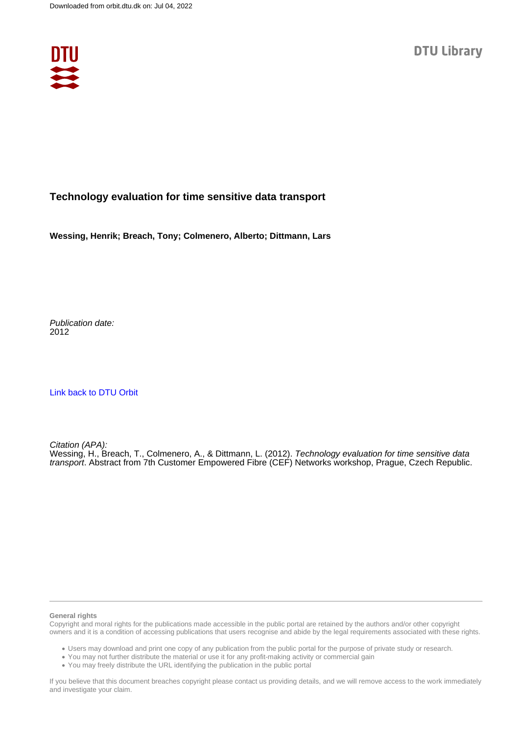

## **Technology evaluation for time sensitive data transport**

**Wessing, Henrik; Breach, Tony; Colmenero, Alberto; Dittmann, Lars**

Publication date: 2012

[Link back to DTU Orbit](https://orbit.dtu.dk/en/publications/7f75dcf9-1ca0-4345-8788-34353eec8258)

Citation (APA): Wessing, H., Breach, T., Colmenero, A., & Dittmann, L. (2012). Technology evaluation for time sensitive data transport. Abstract from 7th Customer Empowered Fibre (CEF) Networks workshop, Prague, Czech Republic.

## **General rights**

Copyright and moral rights for the publications made accessible in the public portal are retained by the authors and/or other copyright owners and it is a condition of accessing publications that users recognise and abide by the legal requirements associated with these rights.

Users may download and print one copy of any publication from the public portal for the purpose of private study or research.

- You may not further distribute the material or use it for any profit-making activity or commercial gain
- You may freely distribute the URL identifying the publication in the public portal

If you believe that this document breaches copyright please contact us providing details, and we will remove access to the work immediately and investigate your claim.